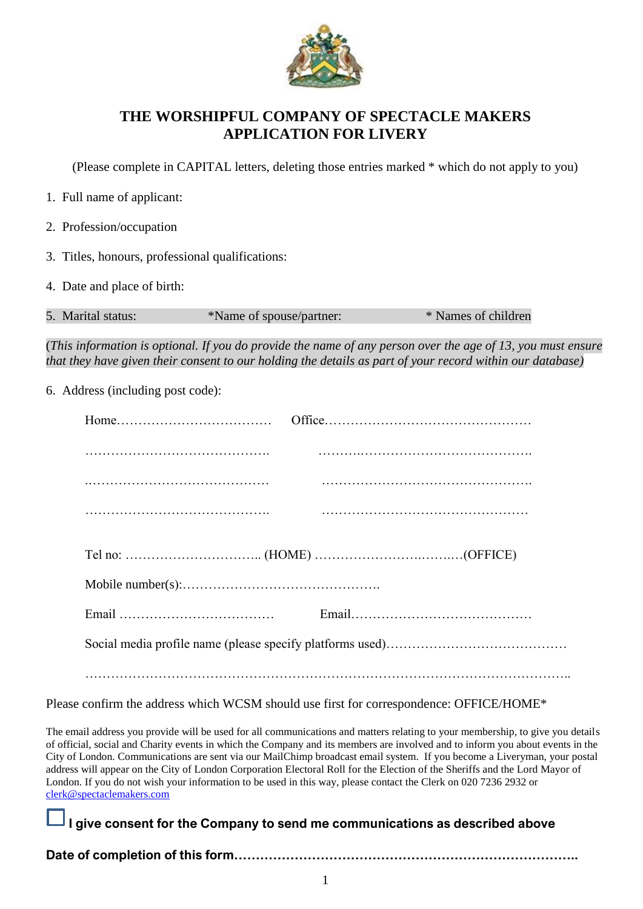

## **THE WORSHIPFUL COMPANY OF SPECTACLE MAKERS APPLICATION FOR LIVERY**

(Please complete in CAPITAL letters, deleting those entries marked \* which do not apply to you)

|  |  |  |  |  | 1. Full name of applicant: |
|--|--|--|--|--|----------------------------|
|--|--|--|--|--|----------------------------|

- 2. Profession/occupation
- 3. Titles, honours, professional qualifications:
- 4. Date and place of birth:

| 5. Marital status: | *Name of spouse/partner: | * Names of children |
|--------------------|--------------------------|---------------------|
|                    |                          |                     |

(*This information is optional. If you do provide the name of any person over the age of 13, you must ensure that they have given their consent to our holding the details as part of your record within our database)*

6. Address (including post code):

Please confirm the address which WCSM should use first for correspondence: OFFICE/HOME\*

The email address you provide will be used for all communications and matters relating to your membership, to give you details of official, social and Charity events in which the Company and its members are involved and to inform you about events in the City of London. Communications are sent via our MailChimp broadcast email system. If you become a Liveryman, your postal address will appear on the City of London Corporation Electoral Roll for the Election of the Sheriffs and the Lord Mayor of London. If you do not wish your information to be used in this way, please contact the Clerk on 020 7236 2932 or [clerk@spectaclemakers.com](mailto:clerk@spectaclemakers.com)

## **I give consent for the Company to send me communications as described above**

**Date of completion of this form……………………………………………………………………..**